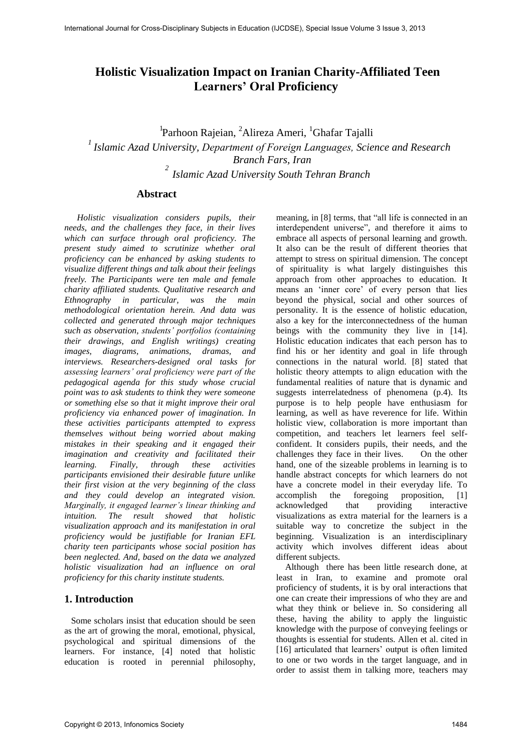# **Holistic Visualization Impact on Iranian Charity-Affiliated Teen Learners' Oral Proficiency**

<sup>1</sup>Parhoon Rajeian, <sup>2</sup>Alireza Ameri, <sup>1</sup>Ghafar Tajalli *1 Islamic Azad University, Department of Foreign Languages, Science and Research Branch Fars, Iran 2 Islamic Azad University South Tehran Branch* 

# **Abstract**

*Holistic visualization considers pupils, their needs, and the challenges they face, in their lives which can surface through oral proficiency. The present study aimed to scrutinize whether oral proficiency can be enhanced by asking students to visualize different things and talk about their feelings freely. The Participants were ten male and female charity affiliated students. Qualitative research and Ethnography in particular, was the main methodological orientation herein. And data was collected and generated through major techniques such as observation, students' portfolios (containing their drawings, and English writings) creating images, diagrams, animations, dramas, and interviews. Researchers-designed oral tasks for assessing learners' oral proficiency were part of the pedagogical agenda for this study whose crucial point was to ask students to think they were someone or something else so that it might improve their oral proficiency via enhanced power of imagination. In these activities participants attempted to express themselves without being worried about making mistakes in their speaking and it engaged their imagination and creativity and facilitated their learning. Finally, through these activities participants envisioned their desirable future unlike their first vision at the very beginning of the class and they could develop an integrated vision. Marginally, it engaged learner's linear thinking and intuition. The result showed that holistic visualization approach and its manifestation in oral proficiency would be justifiable for Iranian EFL charity teen participants whose social position has been neglected. And, based on the data we analyzed holistic visualization had an influence on oral proficiency for this charity institute students.* 

# **1. Introduction**

 Some scholars insist that education should be seen as the art of growing the moral, emotional, physical, psychological and spiritual dimensions of the learners. For instance, [4] noted that holistic education is rooted in perennial philosophy, meaning, in [8] terms, that "all life is connected in an interdependent universe", and therefore it aims to embrace all aspects of personal learning and growth. It also can be the result of different theories that attempt to stress on spiritual dimension. The concept of spirituality is what largely distinguishes this approach from other approaches to education. It means an 'inner core' of every person that lies beyond the physical, social and other sources of personality. It is the essence of holistic education, also a key for the interconnectedness of the human beings with the community they live in [14]. Holistic education indicates that each person has to find his or her identity and goal in life through connections in the natural world. [8] stated that holistic theory attempts to align education with the fundamental realities of nature that is dynamic and suggests interrelatedness of phenomena (p.4). Its purpose is to help people have enthusiasm for learning, as well as have reverence for life. Within holistic view, collaboration is more important than competition, and teachers let learners feel selfconfident. It considers pupils, their needs, and the challenges they face in their lives. On the other hand, one of the sizeable problems in learning is to handle abstract concepts for which learners do not have a concrete model in their everyday life. To accomplish the foregoing proposition, [1]<br>acknowledged that providing interactive acknowledged that visualizations as extra material for the learners is a suitable way to concretize the subject in the beginning. Visualization is an interdisciplinary activity which involves different ideas about different subjects.

 Although there has been little research done, at least in Iran, to examine and promote oral proficiency of students, it is by oral interactions that one can create their impressions of who they are and what they think or believe in. So considering all these, having the ability to apply the linguistic knowledge with the purpose of conveying feelings or thoughts is essential for students. Allen et al. cited in [16] articulated that learners' output is often limited to one or two words in the target language, and in order to assist them in talking more, teachers may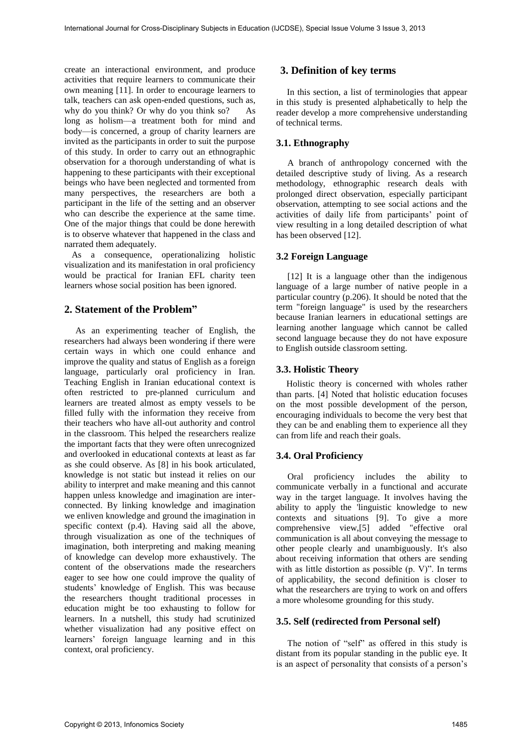create an interactional environment, and produce activities that require learners to communicate their own meaning [11]. In order to encourage learners to talk, teachers can ask open-ended questions, such as, why do you think? Or why do you think so? As long as holism—a treatment both for mind and body—is concerned, a group of charity learners are invited as the participants in order to suit the purpose of this study. In order to carry out an ethnographic observation for a thorough understanding of what is happening to these participants with their exceptional beings who have been neglected and tormented from many perspectives, the researchers are both a participant in the life of the setting and an observer who can describe the experience at the same time. One of the major things that could be done herewith is to observe whatever that happened in the class and narrated them adequately.

 As a consequence, operationalizing holistic visualization and its manifestation in oral proficiency would be practical for Iranian EFL charity teen learners whose social position has been ignored.

### **2. Statement of the Problem"**

 As an experimenting teacher of English, the researchers had always been wondering if there were certain ways in which one could enhance and improve the quality and status of English as a foreign language, particularly oral proficiency in Iran. Teaching English in Iranian educational context is often restricted to pre-planned curriculum and learners are treated almost as empty vessels to be filled fully with the information they receive from their teachers who have all-out authority and control in the classroom. This helped the researchers realize the important facts that they were often unrecognized and overlooked in educational contexts at least as far as she could observe. As [8] in his book articulated, knowledge is not static but instead it relies on our ability to interpret and make meaning and this cannot happen unless knowledge and imagination are interconnected. By linking knowledge and imagination we enliven knowledge and ground the imagination in specific context (p.4). Having said all the above, through visualization as one of the techniques of imagination, both interpreting and making meaning of knowledge can develop more exhaustively. The content of the observations made the researchers eager to see how one could improve the quality of students' knowledge of English. This was because the researchers thought traditional processes in education might be too exhausting to follow for learners. In a nutshell, this study had scrutinized whether visualization had any positive effect on learners' foreign language learning and in this context, oral proficiency.

# **3. Definition of key terms**

 In this section, a list of terminologies that appear in this study is presented alphabetically to help the reader develop a more comprehensive understanding of technical terms.

### **3.1. Ethnography**

A branch of anthropology concerned with the detailed descriptive study of living. As a research methodology, ethnographic research deals with prolonged direct observation, especially participant observation, attempting to see social actions and the activities of daily life from participants' point of view resulting in a long detailed description of what has been observed [12].

### **3.2 Foreign Language**

 [12] It is a language other than the indigenous language of a large number of native people in a particular country (p.206). It should be noted that the term "foreign language" is used by the researchers because Iranian learners in educational settings are learning another language which cannot be called second language because they do not have exposure to English outside classroom setting.

### **3.3. Holistic Theory**

 Holistic theory is concerned with wholes rather than parts. [4] Noted that holistic education focuses on the most possible development of the person, encouraging individuals to become the very best that they can be and enabling them to experience all they can from life and reach their goals.

### **3.4. Oral Proficiency**

 Oral proficiency includes the ability to communicate verbally in a functional and accurate way in the target language. It involves having the ability to apply the 'linguistic knowledge to new contexts and situations [9]. To give a more comprehensive view,[5] added "effective oral communication is all about conveying the message to other people clearly and unambiguously. It's also about receiving information that others are sending with as little distortion as possible (p. V)". In terms of applicability, the second definition is closer to what the researchers are trying to work on and offers a more wholesome grounding for this study.

### **3.5. Self (redirected from Personal self)**

 The notion of "self" as offered in this study is distant from its popular standing in the public eye. It is an aspect of personality that consists of a person's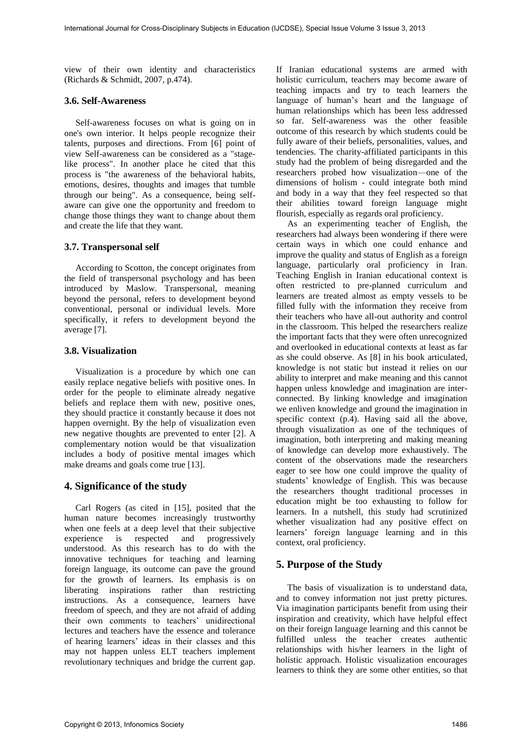view of their own identity and characteristics (Richards & Schmidt, 2007, p.474).

#### **3.6. Self-Awareness**

 Self-awareness focuses on what is going on in one's own interior. It helps people recognize their talents, purposes and directions. From [6] point of view Self-awareness can be considered as a "stagelike process". In another place he cited that this process is "the awareness of the behavioral habits, emotions, desires, thoughts and images that tumble through our being". As a consequence, being selfaware can give one the opportunity and freedom to change those things they want to change about them and create the life that they want.

#### **3.7. Transpersonal self**

 According to Scotton, the concept originates from the field of transpersonal psychology and has been introduced by Maslow. Transpersonal, meaning beyond the personal, refers to development beyond conventional, personal or individual levels. More specifically, it refers to development beyond the average [7].

#### **3.8. Visualization**

 Visualization is a procedure by which one can easily replace negative beliefs with positive ones. In order for the people to eliminate already negative beliefs and replace them with new, positive ones, they should practice it constantly because it does not happen overnight. By the help of visualization even new negative thoughts are prevented to enter [2]. A complementary notion would be that visualization includes a body of positive mental images which make dreams and goals come true [13].

#### **4. Significance of the study**

 Carl Rogers (as cited in [15], posited that the human nature becomes increasingly trustworthy when one feels at a deep level that their subjective experience is respected and progressively understood. As this research has to do with the innovative techniques for teaching and learning foreign language, its outcome can pave the ground for the growth of learners. Its emphasis is on liberating inspirations rather than restricting instructions. As a consequence, learners have freedom of speech, and they are not afraid of adding their own comments to teachers' unidirectional lectures and teachers have the essence and tolerance of hearing learners' ideas in their classes and this may not happen unless ELT teachers implement revolutionary techniques and bridge the current gap.

If Iranian educational systems are armed with holistic curriculum, teachers may become aware of teaching impacts and try to teach learners the language of human's heart and the language of human relationships which has been less addressed so far. Self-awareness was the other feasible outcome of this research by which students could be fully aware of their beliefs, personalities, values, and tendencies. The charity-affiliated participants in this study had the problem of being disregarded and the researchers probed how visualization—one of the dimensions of holism - could integrate both mind and body in a way that they feel respected so that their abilities toward foreign language might flourish, especially as regards oral proficiency.

 As an experimenting teacher of English, the researchers had always been wondering if there were certain ways in which one could enhance and improve the quality and status of English as a foreign language, particularly oral proficiency in Iran. Teaching English in Iranian educational context is often restricted to pre-planned curriculum and learners are treated almost as empty vessels to be filled fully with the information they receive from their teachers who have all-out authority and control in the classroom. This helped the researchers realize the important facts that they were often unrecognized and overlooked in educational contexts at least as far as she could observe. As [8] in his book articulated, knowledge is not static but instead it relies on our ability to interpret and make meaning and this cannot happen unless knowledge and imagination are interconnected. By linking knowledge and imagination we enliven knowledge and ground the imagination in specific context (p.4). Having said all the above, through visualization as one of the techniques of imagination, both interpreting and making meaning of knowledge can develop more exhaustively. The content of the observations made the researchers eager to see how one could improve the quality of students' knowledge of English. This was because the researchers thought traditional processes in education might be too exhausting to follow for learners. In a nutshell, this study had scrutinized whether visualization had any positive effect on learners' foreign language learning and in this context, oral proficiency.

#### **5. Purpose of the Study**

 The basis of visualization is to understand data, and to convey information not just pretty pictures. Via imagination participants benefit from using their inspiration and creativity, which have helpful effect on their foreign language learning and this cannot be fulfilled unless the teacher creates authentic relationships with his/her learners in the light of holistic approach. Holistic visualization encourages learners to think they are some other entities, so that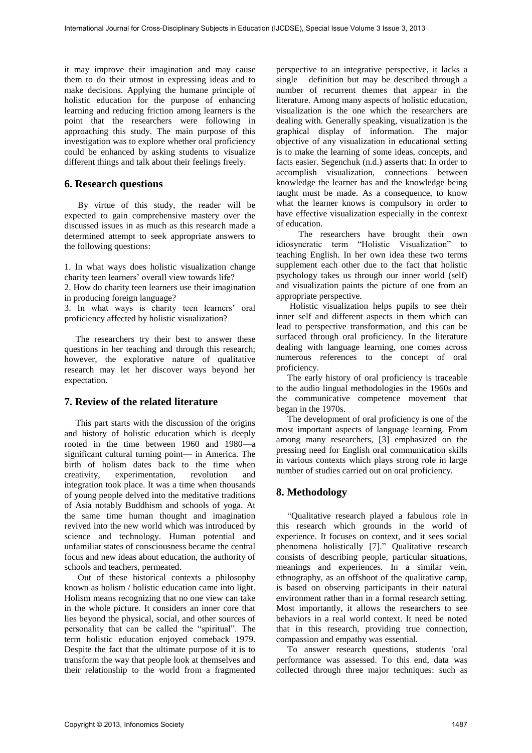it may improve their imagination and may cause them to do their utmost in expressing ideas and to make decisions. Applying the humane principle of holistic education for the purpose of enhancing learning and reducing friction among learners is the point that the researchers were following in approaching this study. The main purpose of this investigation was to explore whether oral proficiency could be enhanced by asking students to visualize different things and talk about their feelings freely.

# **6. Research questions**

 By virtue of this study, the reader will be expected to gain comprehensive mastery over the discussed issues in as much as this research made a determined attempt to seek appropriate answers to the following questions:

1. In what ways does holistic visualization change charity teen learners' overall view towards life?

2. How do charity teen learners use their imagination in producing foreign language?

3. In what ways is charity teen learners' oral proficiency affected by holistic visualization?

 The researchers try their best to answer these questions in her teaching and through this research; however, the explorative nature of qualitative research may let her discover ways beyond her expectation.

# **7. Review of the related literature**

 This part starts with the discussion of the origins and history of holistic education which is deeply rooted in the time between 1960 and 1980—a significant cultural turning point— in America. The birth of holism dates back to the time when creativity, experimentation, revolution integration took place. It was a time when thousands of young people delved into the meditative traditions of Asia notably Buddhism and schools of yoga. At the same time human thought and imagination revived into the new world which was introduced by science and technology. Human potential and unfamiliar states of consciousness became the central focus and new ideas about education, the authority of schools and teachers, permeated.

 Out of these historical contexts a philosophy known as holism / holistic education came into light. Holism means recognizing that no one view can take in the whole picture. It considers an inner core that lies beyond the physical, social, and other sources of personality that can be called the "spiritual". The term holistic education enjoyed comeback 1979. Despite the fact that the ultimate purpose of it is to transform the way that people look at themselves and their relationship to the world from a fragmented

perspective to an integrative perspective, it lacks a single definition but may be described through a number of recurrent themes that appear in the literature. Among many aspects of holistic education, visualization is the one which the researchers are dealing with. Generally speaking, visualization is the graphical display of information. The major objective of any visualization in educational setting is to make the learning of some ideas, concepts, and facts easier. Segenchuk (n.d.) asserts that: In order to accomplish visualization, connections between knowledge the learner has and the knowledge being taught must be made. As a consequence, to know what the learner knows is compulsory in order to have effective visualization especially in the context of education.

 The researchers have brought their own idiosyncratic term "Holistic Visualization" to teaching English. In her own idea these two terms supplement each other due to the fact that holistic psychology takes us through our inner world (self) and visualization paints the picture of one from an appropriate perspective.

 Holistic visualization helps pupils to see their inner self and different aspects in them which can lead to perspective transformation, and this can be surfaced through oral proficiency. In the literature dealing with language learning, one comes across numerous references to the concept of oral proficiency.

 The early history of oral proficiency is traceable to the audio lingual methodologies in the 1960s and the communicative competence movement that began in the 1970s.

 The development of oral proficiency is one of the most important aspects of language learning. From among many researchers, [3] emphasized on the pressing need for English oral communication skills in various contexts which plays strong role in large number of studies carried out on oral proficiency.

# **8. Methodology**

 "Qualitative research played a fabulous role in this research which grounds in the world of experience. It focuses on context, and it sees social phenomena holistically [7]." Qualitative research consists of describing people, particular situations, meanings and experiences. In a similar vein, ethnography, as an offshoot of the qualitative camp, is based on observing participants in their natural environment rather than in a formal research setting. Most importantly, it allows the researchers to see behaviors in a real world context. It need be noted that in this research, providing true connection, compassion and empathy was essential.

 To answer research questions, students 'oral performance was assessed. To this end, data was collected through three major techniques: such as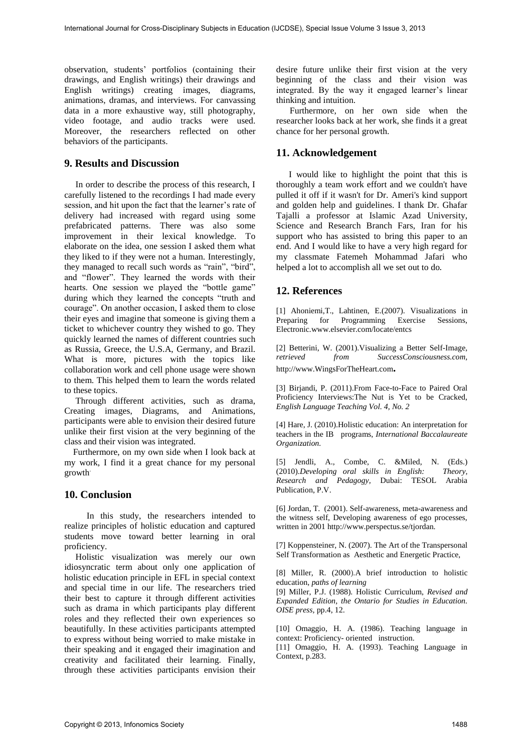observation, students' portfolios (containing their drawings, and English writings) their drawings and English writings) creating images, diagrams, animations, dramas, and interviews. For canvassing data in a more exhaustive way, still photography, video footage, and audio tracks were used. Moreover, the researchers reflected on other behaviors of the participants.

### **9. Results and Discussion**

 In order to describe the process of this research, I carefully listened to the recordings I had made every session, and hit upon the fact that the learner's rate of delivery had increased with regard using some prefabricated patterns. There was also some improvement in their lexical knowledge. To elaborate on the idea, one session I asked them what they liked to if they were not a human. Interestingly, they managed to recall such words as "rain", "bird", and "flower". They learned the words with their hearts. One session we played the "bottle game" during which they learned the concepts "truth and courage". On another occasion, I asked them to close their eyes and imagine that someone is giving them a ticket to whichever country they wished to go. They quickly learned the names of different countries such as Russia, Greece, the U.S.A, Germany, and Brazil. What is more, pictures with the topics like collaboration work and cell phone usage were shown to them. This helped them to learn the words related to these topics.

 Through different activities, such as drama, Creating [images,](http://en.wikipedia.org/wiki/Image) Diagrams, and Animations, participants were able to envision their desired future unlike their first vision at the very beginning of the class and their vision was integrated.

 Furthermore, on my own side when I look back at my work, I find it a great chance for my personal growth.

### **10. Conclusion**

 In this study, the researchers intended to realize principles of holistic education and captured students move toward better learning in oral proficiency.

 Holistic visualization was merely our own idiosyncratic term about only one application of holistic education principle in EFL in special context and special time in our life. The researchers tried their best to capture it through different activities such as drama in which participants play different roles and they reflected their own experiences so beautifully. In these activities participants attempted to express without being worried to make mistake in their speaking and it engaged their imagination and creativity and facilitated their learning. Finally, through these activities participants envision their

desire future unlike their first vision at the very beginning of the class and their vision was integrated. By the way it engaged learner's linear thinking and intuition.

 Furthermore, on her own side when the researcher looks back at her work, she finds it a great chance for her personal growth.

### **11. Acknowledgement**

I would like to highlight the point that this is thoroughly a team work effort and we couldn't have pulled it off if it wasn't for Dr. Ameri's kind support and golden help and guidelines. I thank Dr. Ghafar Tajalli a professor at Islamic Azad University, Science and Research Branch Fars, Iran for his support who has assisted to bring this paper to an end. And I would like to have a very high regard for my classmate Fatemeh Mohammad Jafari who helped a lot to accomplish all we set out to do.

### **12. References**

[1] Ahoniemi,T., Lahtinen, E.(2007). Visualizations in Preparing for Programming Exercise Sessions, Electronic*.*[www.elsevier.com/locate/entcs](http://www.elsevier.com/locate/entcs)

[2] Betterini, W. (2001).Visualizing a Better Self-Image*, retrieved from SuccessConsciousness.com,* [http://www.WingsForTheHeart.com](http://www.wingsfortheheart.com/)**.**

[3] Birjandi, P. (2011).From Face-to-Face to Paired Oral Proficiency Interviews:The Nut is Yet to be Cracked, *English Language Teaching Vol. 4, No. 2* 

[4] Hare, J. (2010).Holistic education: An interpretation for teachers in the IB programs, *International Baccalaureate Organization.* 

[5] Jendli, A., Combe, C. &Miled, N. (Eds.) (2010).*Developing oral skills in English: Theory, Research and Pedagogy,* Dubai: TESOL Arabia Publication, P.V.

[6] Jordan, T. (2001). Self-awareness, meta-awareness and the witness self, Developing awareness of ego processes, written in 2001 http://www.perspectus.se/tjordan.

[7] Koppensteiner, N. (2007). The Art of the Transpersonal Self Transformation as Aesthetic and Energetic Practice,

[8] Miller, R. (2000).A brief introduction to holistic education, *paths of learning*

[9] Miller, P.J. (1988). Holistic Curriculum, *Revised and Expanded Edition, the Ontario for Studies in Education. OISE press,* pp.4, 12.

[10] Omaggio, H. A. (1986). Teaching language in context: Proficiency- oriented instruction.

[11] Omaggio, H. A. (1993). Teaching Language in Context, p.283.